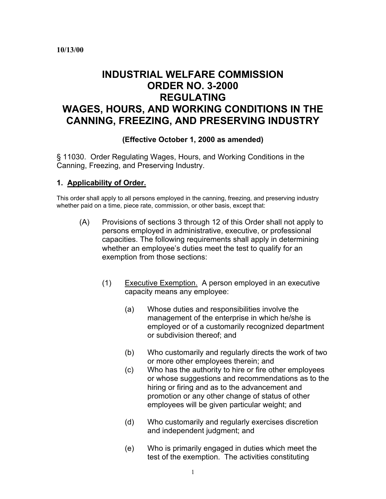# **INDUSTRIAL WELFARE COMMISSION ORDER NO. 3-2000 REGULATING WAGES, HOURS, AND WORKING CONDITIONS IN THE CANNING, FREEZING, AND PRESERVING INDUSTRY**

### **(Effective October 1, 2000 as amended)**

§ 11030. Order Regulating Wages, Hours, and Working Conditions in the Canning, Freezing, and Preserving Industry.

#### **1. Applicability of Order.**

This order shall apply to all persons employed in the canning, freezing, and preserving industry whether paid on a time, piece rate, commission, or other basis, except that:

- (A) Provisions of sections 3 through 12 of this Order shall not apply to persons employed in administrative, executive, or professional capacities. The following requirements shall apply in determining whether an employee's duties meet the test to qualify for an exemption from those sections:
	- (1) Executive Exemption. A person employed in an executive capacity means any employee:
		- (a) Whose duties and responsibilities involve the management of the enterprise in which he/she is employed or of a customarily recognized department or subdivision thereof; and
		- (b) Who customarily and regularly directs the work of two or more other employees therein; and
		- (c) Who has the authority to hire or fire other employees or whose suggestions and recommendations as to the hiring or firing and as to the advancement and promotion or any other change of status of other employees will be given particular weight; and
		- (d) Who customarily and regularly exercises discretion and independent judgment; and
		- (e) Who is primarily engaged in duties which meet the test of the exemption. The activities constituting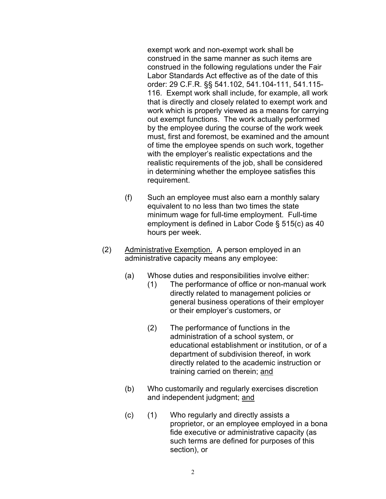exempt work and non-exempt work shall be construed in the same manner as such items are construed in the following regulations under the Fair Labor Standards Act effective as of the date of this order: 29 C.F.R. §§ 541.102, 541.104-111, 541.115 116. Exempt work shall include, for example, all work that is directly and closely related to exempt work and work which is properly viewed as a means for carrying out exempt functions. The work actually performed by the employee during the course of the work week must, first and foremost, be examined and the amount of time the employee spends on such work, together with the employer's realistic expectations and the realistic requirements of the job, shall be considered in determining whether the employee satisfies this requirement.

- (f) Such an employee must also earn a monthly salary equivalent to no less than two times the state minimum wage for full-time employment. Full-time employment is defined in Labor Code § 515(c) as 40 hours per week.
- (2) Administrative Exemption. A person employed in an administrative capacity means any employee:
	- (a) Whose duties and responsibilities involve either:
		- (1) The performance of office or non-manual work directly related to management policies or general business operations of their employer or their employer's customers, or
		- (2) The performance of functions in the administration of a school system, or educational establishment or institution, or of a department of subdivision thereof, in work directly related to the academic instruction or training carried on therein; and
	- (b) Who customarily and regularly exercises discretion and independent judgment; and
	- (c) (1) Who regularly and directly assists a proprietor, or an employee employed in a bona fide executive or administrative capacity (as such terms are defined for purposes of this section), or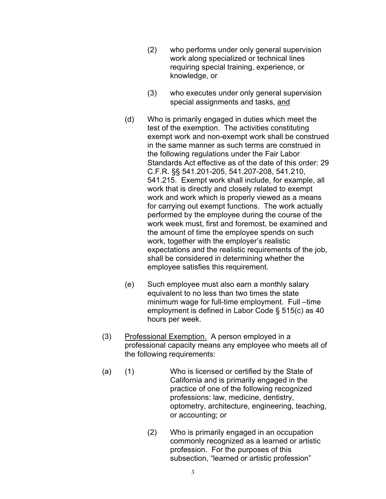- (2) who performs under only general supervision work along specialized or technical lines requiring special training, experience, or knowledge, or
- (3) who executes under only general supervision special assignments and tasks, and
- (d) Who is primarily engaged in duties which meet the test of the exemption. The activities constituting exempt work and non-exempt work shall be construed in the same manner as such terms are construed in the following regulations under the Fair Labor Standards Act effective as of the date of this order: 29 C.F.R. §§ 541.201-205, 541.207-208, 541.210, 541.215. Exempt work shall include, for example, all work that is directly and closely related to exempt work and work which is properly viewed as a means for carrying out exempt functions. The work actually performed by the employee during the course of the work week must, first and foremost, be examined and the amount of time the employee spends on such work, together with the employer's realistic expectations and the realistic requirements of the job, shall be considered in determining whether the employee satisfies this requirement.
- (e) Such employee must also earn a monthly salary equivalent to no less than two times the state minimum wage for full-time employment. Full –time employment is defined in Labor Code § 515(c) as 40 hours per week.
- (3) Professional Exemption. A person employed in a professional capacity means any employee who meets all of the following requirements:
- $(a)$ (1) Who is licensed or certified by the State of California and is primarily engaged in the practice of one of the following recognized professions: law, medicine, dentistry, optometry, architecture, engineering, teaching, or accounting; or
	- (2) Who is primarily engaged in an occupation commonly recognized as a learned or artistic profession. For the purposes of this subsection, "learned or artistic profession"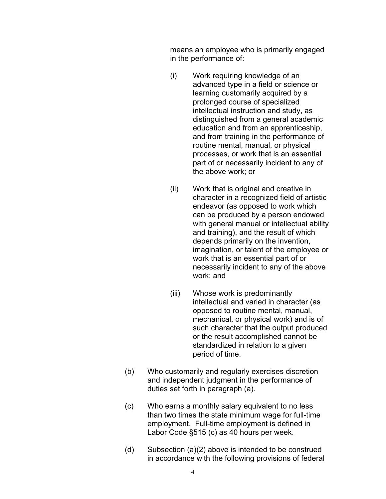means an employee who is primarily engaged in the performance of:

- (i) Work requiring knowledge of an advanced type in a field or science or learning customarily acquired by a prolonged course of specialized intellectual instruction and study, as distinguished from a general academic education and from an apprenticeship, and from training in the performance of routine mental, manual, or physical processes, or work that is an essential part of or necessarily incident to any of the above work; or
- (ii) Work that is original and creative in character in a recognized field of artistic endeavor (as opposed to work which can be produced by a person endowed with general manual or intellectual ability and training), and the result of which depends primarily on the invention, imagination, or talent of the employee or work that is an essential part of or necessarily incident to any of the above work; and
- (iii) Whose work is predominantly intellectual and varied in character (as opposed to routine mental, manual, mechanical, or physical work) and is of such character that the output produced or the result accomplished cannot be standardized in relation to a given period of time.
- (b) Who customarily and regularly exercises discretion and independent judgment in the performance of duties set forth in paragraph (a).
- (c) Who earns a monthly salary equivalent to no less than two times the state minimum wage for full-time employment. Full-time employment is defined in Labor Code §515 (c) as 40 hours per week.
- (d) Subsection  $(a)(2)$  above is intended to be construed in accordance with the following provisions of federal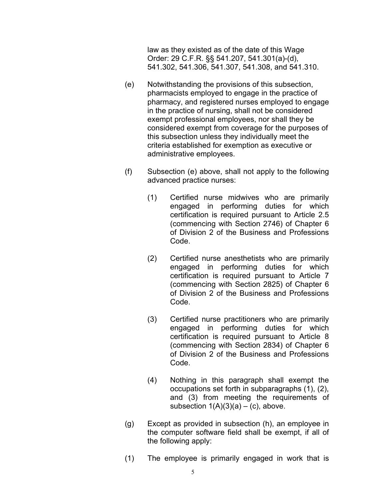law as they existed as of the date of this Wage Order: 29 C.F.R. §§ 541.207, 541.301(a)-(d), 541.302, 541.306, 541.307, 541.308, and 541.310.

- (e) Notwithstanding the provisions of this subsection, pharmacists employed to engage in the practice of pharmacy, and registered nurses employed to engage in the practice of nursing, shall not be considered exempt professional employees, nor shall they be considered exempt from coverage for the purposes of this subsection unless they individually meet the criteria established for exemption as executive or administrative employees.
- (f) Subsection (e) above, shall not apply to the following advanced practice nurses:
	- (1) Certified nurse midwives who are primarily engaged in performing duties for which certification is required pursuant to Article 2.5 (commencing with Section 2746) of Chapter 6 of Division 2 of the Business and Professions Code.
	- (2) Certified nurse anesthetists who are primarily engaged in performing duties for which certification is required pursuant to Article 7 (commencing with Section 2825) of Chapter 6 of Division 2 of the Business and Professions Code.
	- (3) Certified nurse practitioners who are primarily engaged in performing duties for which certification is required pursuant to Article 8 (commencing with Section 2834) of Chapter 6 of Division 2 of the Business and Professions Code.
	- (4) Nothing in this paragraph shall exempt the occupations set forth in subparagraphs (1), (2), and (3) from meeting the requirements of subsection  $1(A)(3)(a) - (c)$ , above.
- the computer software field shall be exempt, if all of (g) Except as provided in subsection (h), an employee in the following apply:
- (1) The employee is primarily engaged in work that is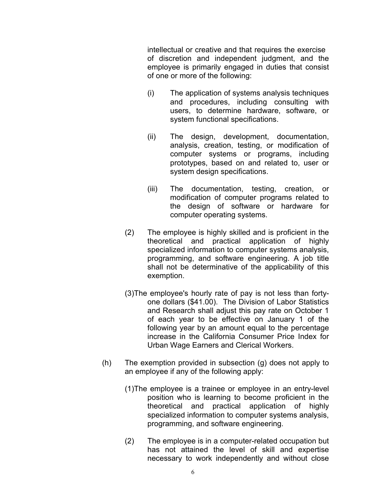intellectual or creative and that requires the exercise of discretion and independent judgment, and the employee is primarily engaged in duties that consist of one or more of the following:

- (i) The application of systems analysis techniques and procedures, including consulting with users, to determine hardware, software, or system functional specifications.
- (ii) The design, development, documentation, analysis, creation, testing, or modification of computer systems or programs, including prototypes, based on and related to, user or system design specifications.
- (iii) The documentation, testing, creation, or modification of computer programs related to the design of software or hardware for computer operating systems.
- $(2)$  The employee is highly skilled and is proficient in the theoretical and practical application of highly specialized information to computer systems analysis, programming, and software engineering. A job title shall not be determinative of the applicability of this exemption.
- (3)The employee's hourly rate of pay is not less than fortyone dollars (\$41.00). The Division of Labor Statistics and Research shall adjust this pay rate on October 1 of each year to be effective on January 1 of the following year by an amount equal to the percentage increase in the California Consumer Price Index for Urban Wage Earners and Clerical Workers.
- $(h)$  The exemption provided in subsection  $(g)$  does not apply to an employee if any of the following apply:
	- (1)The employee is a trainee or employee in an entry-level position who is learning to become proficient in the theoretical and practical application of highly specialized information to computer systems analysis, programming, and software engineering.
	- (2) The employee is in a computer-related occupation but has not attained the level of skill and expertise necessary to work independently and without close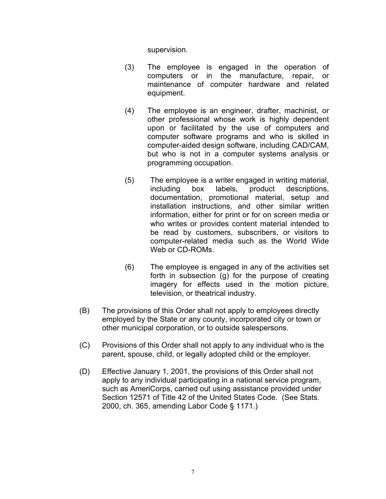supervision.

- (3) The employee is engaged in the operation of computers or in the manufacture, repair, or maintenance of computer hardware and related equipment.
- (4) The employee is an engineer, drafter, machinist, or other professional whose work is highly dependent upon or facilitated by the use of computers and computer software programs and who is skilled in computer-aided design software, including CAD/CAM, but who is not in a computer systems analysis or programming occupation.
- $(5)$ The employee is a writer engaged in writing material, including box labels, product descriptions, documentation, promotional material, setup and installation instructions, and other similar written information, either for print or for on screen media or who writes or provides content material intended to be read by customers, subscribers, or visitors to computer-related media such as the World Wide Web or CD-ROMs.
- $(6)$ The employee is engaged in any of the activities set forth in subsection (g) for the purpose of creating imagery for effects used in the motion picture, television, or theatrical industry.
- (B) The provisions of this Order shall not apply to employees directly employed by the State or any county, incorporated city or town or other municipal corporation, or to outside salespersons.
- (C) Provisions of this Order shall not apply to any individual who is the parent, spouse, child, or legally adopted child or the employer.
- (D) Effective January 1, 2001, the provisions of this Order shall not apply to any individual participating in a national service program, such as AmeriCorps, carried out using assistance provided under Section 12571 of Title 42 of the United States Code. (See Stats. 2000, ch. 365, amending Labor Code § 1171.)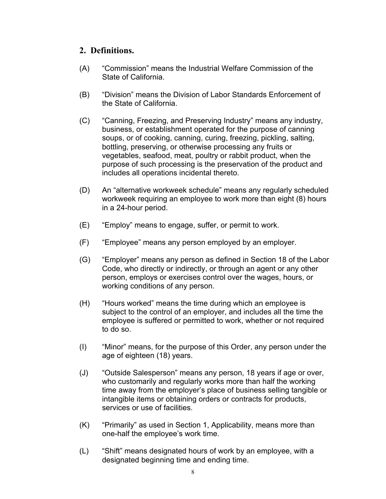# **2. Definitions.**

- (A) "Commission" means the Industrial Welfare Commission of the State of California.
- (B) "Division" means the Division of Labor Standards Enforcement of the State of California.
- (C) "Canning, Freezing, and Preserving Industry" means any industry, business, or establishment operated for the purpose of canning soups, or of cooking, canning, curing, freezing, pickling, salting, bottling, preserving, or otherwise processing any fruits or vegetables, seafood, meat, poultry or rabbit product, when the purpose of such processing is the preservation of the product and includes all operations incidental thereto.
- (D) An "alternative workweek schedule" means any regularly scheduled workweek requiring an employee to work more than eight (8) hours in a 24-hour period.
- $(E)$ "Employ" means to engage, suffer, or permit to work.
- $(F)$ "Employee" means any person employed by an employer.
- (G) "Employer" means any person as defined in Section 18 of the Labor Code, who directly or indirectly, or through an agent or any other person, employs or exercises control over the wages, hours, or working conditions of any person.
- (H) "Hours worked" means the time during which an employee is subject to the control of an employer, and includes all the time the employee is suffered or permitted to work, whether or not required to do so.
- (I) "Minor" means, for the purpose of this Order, any person under the age of eighteen (18) years.
- (J) "Outside Salesperson" means any person, 18 years if age or over, who customarily and regularly works more than half the working time away from the employer's place of business selling tangible or intangible items or obtaining orders or contracts for products, services or use of facilities.
- $(K)$  "Primarily" as used in Section 1, Applicability, means more than one-half the employee's work time.
- (L) "Shift" means designated hours of work by an employee, with a designated beginning time and ending time.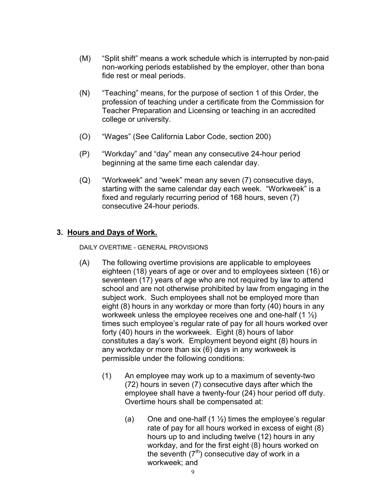- (M) "Split shift" means a work schedule which is interrupted by non-paid non-working periods established by the employer, other than bona fide rest or meal periods.
- (N) "Teaching" means, for the purpose of section 1 of this Order, the profession of teaching under a certificate from the Commission for Teacher Preparation and Licensing or teaching in an accredited college or university.
- $(O)$ "Wages" (See California Labor Code, section 200)
- (P) "Workday" and "day" mean any consecutive 24-hour period beginning at the same time each calendar day.
- (Q) "Workweek" and "week" mean any seven (7) consecutive days, starting with the same calendar day each week. "Workweek" is a fixed and regularly recurring period of 168 hours, seven (7) consecutive 24-hour periods.

#### **3. Hours and Days of Work.**

DAILY OVERTIME - GENERAL PROVISIONS

- (A) The following overtime provisions are applicable to employees eighteen (18) years of age or over and to employees sixteen (16) or seventeen (17) years of age who are not required by law to attend school and are not otherwise prohibited by law from engaging in the subject work. Such employees shall not be employed more than eight (8) hours in any workday or more than forty (40) hours in any workweek unless the employee receives one and one-half  $(1 \frac{1}{2})$ times such employee's regular rate of pay for all hours worked over forty (40) hours in the workweek. Eight (8) hours of labor constitutes a day's work. Employment beyond eight (8) hours in any workday or more than six (6) days in any workweek is permissible under the following conditions:
	- $(1)$  An employee may work up to a maximum of seventy-two (72) hours in seven (7) consecutive days after which the employee shall have a twenty-four (24) hour period off duty. Overtime hours shall be compensated at:
		- (a) One and one-half  $(1 \frac{1}{2})$  times the employee's regular rate of pay for all hours worked in excess of eight (8) hours up to and including twelve (12) hours in any workday, and for the first eight (8) hours worked on the seventh  $(7<sup>th</sup>)$  consecutive day of work in a workweek; and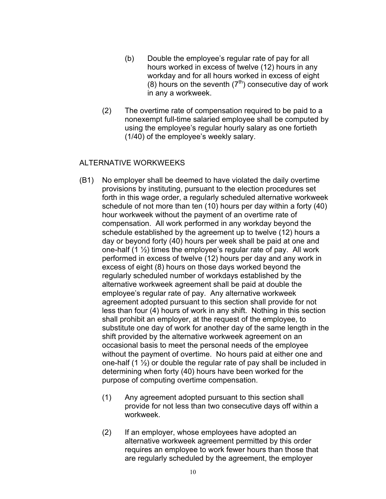- (b) Double the employee's regular rate of pay for all hours worked in excess of twelve (12) hours in any workday and for all hours worked in excess of eight (8) hours on the seventh  $(7<sup>th</sup>)$  consecutive day of work in any a workweek.
- (2) The overtime rate of compensation required to be paid to a nonexempt full-time salaried employee shall be computed by using the employee's regular hourly salary as one fortieth (1/40) of the employee's weekly salary.

### ALTERNATIVE WORKWEEKS

- (B1) No employer shall be deemed to have violated the daily overtime provisions by instituting, pursuant to the election procedures set forth in this wage order, a regularly scheduled alternative workweek schedule of not more than ten (10) hours per day within a forty (40) hour workweek without the payment of an overtime rate of compensation. All work performed in any workday beyond the schedule established by the agreement up to twelve (12) hours a day or beyond forty (40) hours per week shall be paid at one and one-half  $(1 \frac{1}{2})$  times the employee's regular rate of pay. All work performed in excess of twelve (12) hours per day and any work in excess of eight (8) hours on those days worked beyond the regularly scheduled number of workdays established by the alternative workweek agreement shall be paid at double the employee's regular rate of pay. Any alternative workweek agreement adopted pursuant to this section shall provide for not less than four (4) hours of work in any shift. Nothing in this section shall prohibit an employer, at the request of the employee, to substitute one day of work for another day of the same length in the shift provided by the alternative workweek agreement on an occasional basis to meet the personal needs of the employee without the payment of overtime. No hours paid at either one and one-half  $(1 \frac{1}{2})$  or double the regular rate of pay shall be included in determining when forty (40) hours have been worked for the purpose of computing overtime compensation.
	- (1) Any agreement adopted pursuant to this section shall provide for not less than two consecutive days off within a workweek.
	- (2) If an employer, whose employees have adopted an alternative workweek agreement permitted by this order requires an employee to work fewer hours than those that are regularly scheduled by the agreement, the employer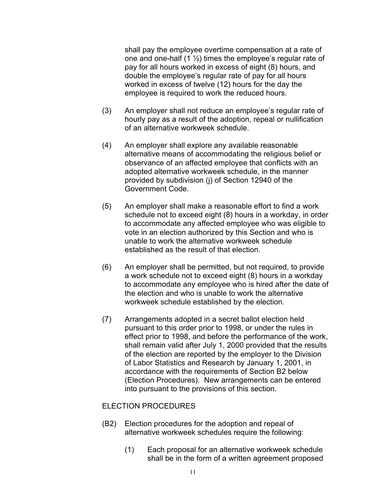shall pay the employee overtime compensation at a rate of one and one-half (1  $\frac{1}{2}$ ) times the employee's regular rate of pay for all hours worked in excess of eight (8) hours, and double the employee's regular rate of pay for all hours worked in excess of twelve (12) hours for the day the employee is required to work the reduced hours.

- (3) An employer shall not reduce an employee's regular rate of hourly pay as a result of the adoption, repeal or nullification of an alternative workweek schedule.
- (4) An employer shall explore any available reasonable alternative means of accommodating the religious belief or observance of an affected employee that conflicts with an adopted alternative workweek schedule, in the manner provided by subdivision (j) of Section 12940 of the Government Code.
- (5) An employer shall make a reasonable effort to find a work schedule not to exceed eight (8) hours in a workday, in order to accommodate any affected employee who was eligible to vote in an election authorized by this Section and who is unable to work the alternative workweek schedule established as the result of that election.
- (6) An employer shall be permitted, but not required, to provide a work schedule not to exceed eight (8) hours in a workday to accommodate any employee who is hired after the date of the election and who is unable to work the alternative workweek schedule established by the election.
- (7) Arrangements adopted in a secret ballot election held pursuant to this order prior to 1998, or under the rules in effect prior to 1998, and before the performance of the work, shall remain valid after July 1, 2000 provided that the results of the election are reported by the employer to the Division of Labor Statistics and Research by January 1, 2001, in accordance with the requirements of Section B2 below (Election Procedures). New arrangements can be entered into pursuant to the provisions of this section.

#### ELECTION PROCEDURES

- (B2) Election procedures for the adoption and repeal of alternative workweek schedules require the following:
	- (1) Each proposal for an alternative workweek schedule shall be in the form of a written agreement proposed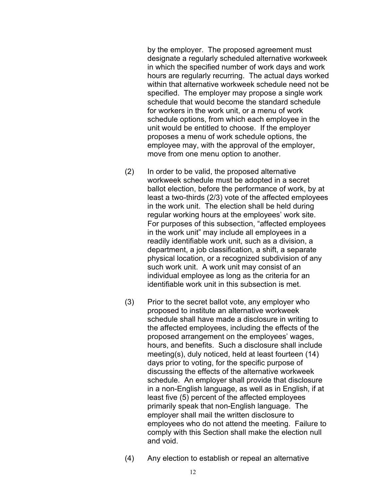by the employer. The proposed agreement must designate a regularly scheduled alternative workweek in which the specified number of work days and work hours are regularly recurring. The actual days worked within that alternative workweek schedule need not be specified. The employer may propose a single work schedule that would become the standard schedule for workers in the work unit, or a menu of work schedule options, from which each employee in the unit would be entitled to choose. If the employer proposes a menu of work schedule options, the employee may, with the approval of the employer, move from one menu option to another.

- (2) In order to be valid, the proposed alternative workweek schedule must be adopted in a secret ballot election, before the performance of work, by at least a two-thirds (2/3) vote of the affected employees in the work unit. The election shall be held during regular working hours at the employees' work site. For purposes of this subsection, "affected employees in the work unit" may include all employees in a readily identifiable work unit, such as a division, a department, a job classification, a shift, a separate physical location, or a recognized subdivision of any such work unit. A work unit may consist of an individual employee as long as the criteria for an identifiable work unit in this subsection is met.
- (3) Prior to the secret ballot vote, any employer who proposed to institute an alternative workweek schedule shall have made a disclosure in writing to the affected employees, including the effects of the proposed arrangement on the employees' wages, hours, and benefits. Such a disclosure shall include meeting(s), duly noticed, held at least fourteen (14) days prior to voting, for the specific purpose of discussing the effects of the alternative workweek schedule. An employer shall provide that disclosure in a non-English language, as well as in English, if at least five (5) percent of the affected employees primarily speak that non-English language. The employer shall mail the written disclosure to employees who do not attend the meeting. Failure to comply with this Section shall make the election null and void.
- (4) Any election to establish or repeal an alternative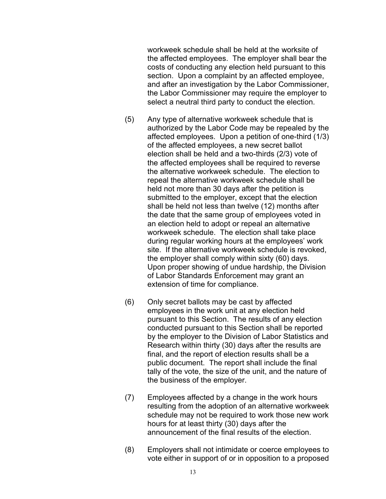workweek schedule shall be held at the worksite of the affected employees. The employer shall bear the costs of conducting any election held pursuant to this section. Upon a complaint by an affected employee, and after an investigation by the Labor Commissioner, the Labor Commissioner may require the employer to select a neutral third party to conduct the election.

- (5) Any type of alternative workweek schedule that is authorized by the Labor Code may be repealed by the affected employees. Upon a petition of one-third (1/3) of the affected employees, a new secret ballot election shall be held and a two-thirds (2/3) vote of the affected employees shall be required to reverse the alternative workweek schedule. The election to repeal the alternative workweek schedule shall be held not more than 30 days after the petition is submitted to the employer, except that the election shall be held not less than twelve (12) months after the date that the same group of employees voted in an election held to adopt or repeal an alternative workweek schedule. The election shall take place during regular working hours at the employees' work site. If the alternative workweek schedule is revoked, the employer shall comply within sixty (60) days. Upon proper showing of undue hardship, the Division of Labor Standards Enforcement may grant an extension of time for compliance.
- (6) Only secret ballots may be cast by affected employees in the work unit at any election held pursuant to this Section. The results of any election conducted pursuant to this Section shall be reported by the employer to the Division of Labor Statistics and Research within thirty (30) days after the results are final, and the report of election results shall be a public document. The report shall include the final tally of the vote, the size of the unit, and the nature of the business of the employer.
- (7) Employees affected by a change in the work hours resulting from the adoption of an alternative workweek schedule may not be required to work those new work hours for at least thirty (30) days after the announcement of the final results of the election.
- (8) Employers shall not intimidate or coerce employees to vote either in support of or in opposition to a proposed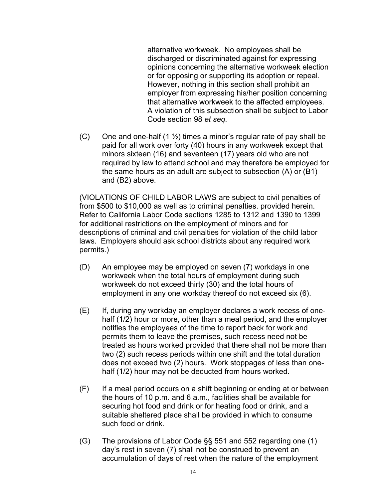alternative workweek. No employees shall be discharged or discriminated against for expressing opinions concerning the alternative workweek election or for opposing or supporting its adoption or repeal. However, nothing in this section shall prohibit an employer from expressing his/her position concerning that alternative workweek to the affected employees. A violation of this subsection shall be subject to Labor Code section 98 *et seq.* 

 $(C)$  One and one-half (1  $\frac{1}{2}$ ) times a minor's regular rate of pay shall be paid for all work over forty (40) hours in any workweek except that minors sixteen (16) and seventeen (17) years old who are not required by law to attend school and may therefore be employed for the same hours as an adult are subject to subsection (A) or (B1) and (B2) above.

(VIOLATIONS OF CHILD LABOR LAWS are subject to civil penalties of from \$500 to \$10,000 as well as to criminal penalties. provided herein. Refer to California Labor Code sections 1285 to 1312 and 1390 to 1399 for additional restrictions on the employment of minors and for descriptions of criminal and civil penalties for violation of the child labor laws. Employers should ask school districts about any required work permits.)

- (D) An employee may be employed on seven (7) workdays in one workweek when the total hours of employment during such workweek do not exceed thirty (30) and the total hours of employment in any one workday thereof do not exceed six (6).
- (E) If, during any workday an employer declares a work recess of onehalf (1/2) hour or more, other than a meal period, and the employer notifies the employees of the time to report back for work and permits them to leave the premises, such recess need not be treated as hours worked provided that there shall not be more than two (2) such recess periods within one shift and the total duration does not exceed two (2) hours. Work stoppages of less than onehalf (1/2) hour may not be deducted from hours worked.
- $(F)$  If a meal period occurs on a shift beginning or ending at or between the hours of 10 p.m. and 6 a.m., facilities shall be available for securing hot food and drink or for heating food or drink, and a suitable sheltered place shall be provided in which to consume such food or drink.
- (G) The provisions of Labor Code  $\S$ § 551 and 552 regarding one (1) day's rest in seven (7) shall not be construed to prevent an accumulation of days of rest when the nature of the employment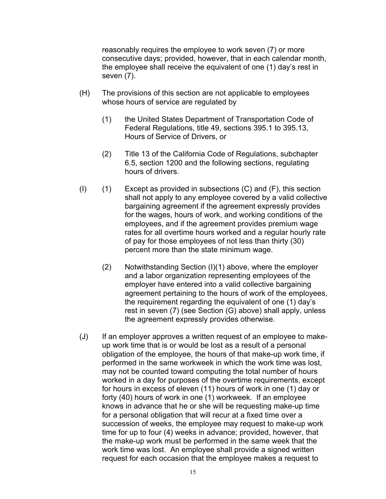reasonably requires the employee to work seven (7) or more consecutive days; provided, however, that in each calendar month, the employee shall receive the equivalent of one (1) day's rest in seven (7).

- (H) The provisions of this section are not applicable to employees whose hours of service are regulated by
	- (1) the United States Department of Transportation Code of Federal Regulations, title 49, sections 395.1 to 395.13, Hours of Service of Drivers, or
	- (2) Title 13 of the California Code of Regulations, subchapter 6.5, section 1200 and the following sections, regulating hours of drivers.
- $(1)$   $(1)$  Except as provided in subsections  $(C)$  and  $(F)$ , this section shall not apply to any employee covered by a valid collective bargaining agreement if the agreement expressly provides for the wages, hours of work, and working conditions of the employees, and if the agreement provides premium wage rates for all overtime hours worked and a regular hourly rate of pay for those employees of not less than thirty (30) percent more than the state minimum wage.
	- $(2)$  Notwithstanding Section  $(I)(1)$  above, where the employer and a labor organization representing employees of the employer have entered into a valid collective bargaining agreement pertaining to the hours of work of the employees, the requirement regarding the equivalent of one (1) day's rest in seven (7) (see Section (G) above) shall apply, unless the agreement expressly provides otherwise.
- (J) If an employer approves a written request of an employee to makeup work time that is or would be lost as a result of a personal obligation of the employee, the hours of that make-up work time, if performed in the same workweek in which the work time was lost, may not be counted toward computing the total number of hours worked in a day for purposes of the overtime requirements, except for hours in excess of eleven (11) hours of work in one (1) day or forty (40) hours of work in one (1) workweek. If an employee knows in advance that he or she will be requesting make-up time for a personal obligation that will recur at a fixed time over a succession of weeks, the employee may request to make-up work time for up to four (4) weeks in advance; provided, however, that the make-up work must be performed in the same week that the work time was lost. An employee shall provide a signed written request for each occasion that the employee makes a request to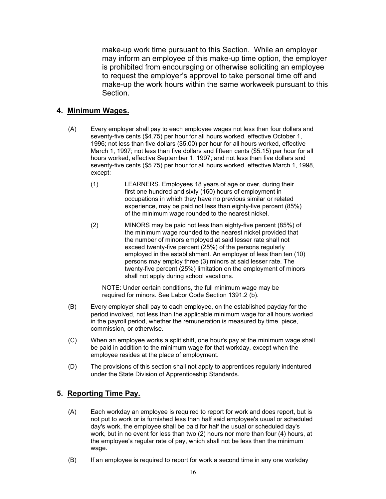make-up work time pursuant to this Section. While an employer may inform an employee of this make-up time option, the employer is prohibited from encouraging or otherwise soliciting an employee to request the employer's approval to take personal time off and make-up the work hours within the same workweek pursuant to this Section.

#### **4. Minimum Wages.**

- $(A)$ Every employer shall pay to each employee wages not less than four dollars and seventy-five cents (\$4.75) per hour for all hours worked, effective October 1, 1996; not less than five dollars (\$5.00) per hour for all hours worked, effective March 1, 1997; not less than five dollars and fifteen cents (\$5.15) per hour for all hours worked, effective September 1, 1997; and not less than five dollars and seventy-five cents (\$5.75) per hour for all hours worked, effective March 1, 1998, except:
	- $(1)$ LEARNERS. Employees 18 years of age or over, during their first one hundred and sixty (160) hours of employment in occupations in which they have no previous similar or related experience, may be paid not less than eighty-five percent (85%) of the minimum wage rounded to the nearest nickel.
	- $(2)$ MINORS may be paid not less than eighty-five percent (85%) of the minimum wage rounded to the nearest nickel provided that the number of minors employed at said lesser rate shall not exceed twenty-five percent (25%) of the persons regularly employed in the establishment. An employer of less than ten (10) persons may employ three (3) minors at said lesser rate. The twenty-five percent (25%) limitation on the employment of minors shall not apply during school vacations.

NOTE: Under certain conditions, the full minimum wage may be required for minors. See Labor Code Section 1391.2 (b).

- $(B)$ Every employer shall pay to each employee, on the established payday for the period involved, not less than the applicable minimum wage for all hours worked in the payroll period, whether the remuneration is measured by time, piece, commission, or otherwise.
- $(C)$ When an employee works a split shift, one hour's pay at the minimum wage shall be paid in addition to the minimum wage for that workday, except when the employee resides at the place of employment.
- $(D)$ The provisions of this section shall not apply to apprentices regularly indentured under the State Division of Apprenticeship Standards.

#### **5. Reporting Time Pay.**

- $(A)$ Each workday an employee is required to report for work and does report, but is not put to work or is furnished less than half said employee's usual or scheduled day's work, the employee shall be paid for half the usual or scheduled day's work, but in no event for less than two (2) hours nor more than four (4) hours, at the employee's regular rate of pay, which shall not be less than the minimum wage.
- $(B)$ If an employee is required to report for work a second time in any one workday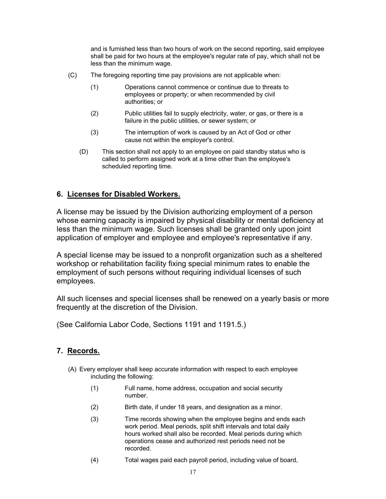and is furnished less than two hours of work on the second reporting, said employee shall be paid for two hours at the employee's regular rate of pay, which shall not be less than the minimum wage.

- $(C)$ The foregoing reporting time pay provisions are not applicable when:
	- $(1)$ Operations cannot commence or continue due to threats to employees or property; or when recommended by civil authorities; or
	- $(2)$ Public utilities fail to supply electricity, water, or gas, or there is a failure in the public utilities, or sewer system; or
	- $(3)$ The interruption of work is caused by an Act of God or other cause not within the employer's control.
	- $(D)$ This section shall not apply to an employee on paid standby status who is called to perform assigned work at a time other than the employee's scheduled reporting time.

## **6. Licenses for Disabled Workers.**

A license may be issued by the Division authorizing employment of a person whose earning capacity is impaired by physical disability or mental deficiency at less than the minimum wage. Such licenses shall be granted only upon joint application of employer and employee and employee's representative if any.

A special license may be issued to a nonprofit organization such as a sheltered workshop or rehabilitation facility fixing special minimum rates to enable the employment of such persons without requiring individual licenses of such employees.

All such licenses and special licenses shall be renewed on a yearly basis or more frequently at the discretion of the Division.

(See California Labor Code, Sections 1191 and 1191.5.)

#### **7. Records.**

- (A) Every employer shall keep accurate information with respect to each employee including the following:
	- $(1)$ Full name, home address, occupation and social security number.
	- $(2)$ Birth date, if under 18 years, and designation as a minor.
	- $(3)$ Time records showing when the employee begins and ends each work period. Meal periods, split shift intervals and total daily hours worked shall also be recorded. Meal periods during which operations cease and authorized rest periods need not be recorded.
	- $(4)$ Total wages paid each payroll period, including value of board,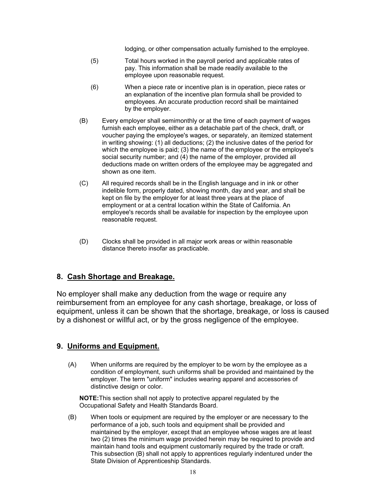lodging, or other compensation actually furnished to the employee.

- $(5)$ Total hours worked in the payroll period and applicable rates of pay. This information shall be made readily available to the employee upon reasonable request.
- $(6)$ When a piece rate or incentive plan is in operation, piece rates or an explanation of the incentive plan formula shall be provided to employees. An accurate production record shall be maintained by the employer.
- $(B)$ Every employer shall semimonthly or at the time of each payment of wages furnish each employee, either as a detachable part of the check, draft, or voucher paying the employee's wages, or separately, an itemized statement in writing showing: (1) all deductions; (2) the inclusive dates of the period for which the employee is paid; (3) the name of the employee or the employee's social security number; and (4) the name of the employer, provided all deductions made on written orders of the employee may be aggregated and shown as one item.
- $(C)$ All required records shall be in the English language and in ink or other indelible form, properly dated, showing month, day and year, and shall be kept on file by the employer for at least three years at the place of employment or at a central location within the State of California. An employee's records shall be available for inspection by the employee upon reasonable request.
- $(D)$ Clocks shall be provided in all major work areas or within reasonable distance thereto insofar as practicable.

## **8. Cash Shortage and Breakage.**

No employer shall make any deduction from the wage or require any reimbursement from an employee for any cash shortage, breakage, or loss of equipment, unless it can be shown that the shortage, breakage, or loss is caused by a dishonest or willful act, or by the gross negligence of the employee.

## **9. Uniforms and Equipment.**

 $(A)$ When uniforms are required by the employer to be worn by the employee as a condition of employment, such uniforms shall be provided and maintained by the employer. The term "uniform" includes wearing apparel and accessories of distinctive design or color.

**NOTE:**This section shall not apply to protective apparel regulated by the Occupational Safety and Health Standards Board.

 $(B)$ When tools or equipment are required by the employer or are necessary to the performance of a job, such tools and equipment shall be provided and maintained by the employer, except that an employee whose wages are at least two (2) times the minimum wage provided herein may be required to provide and maintain hand tools and equipment customarily required by the trade or craft. This subsection (B) shall not apply to apprentices regularly indentured under the State Division of Apprenticeship Standards.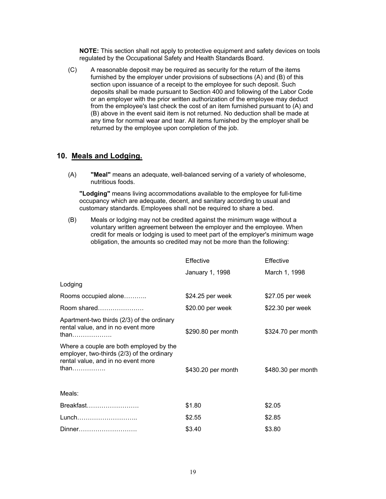**NOTE:** This section shall not apply to protective equipment and safety devices on tools regulated by the Occupational Safety and Health Standards Board.

 $(C)$ A reasonable deposit may be required as security for the return of the items furnished by the employer under provisions of subsections (A) and (B) of this section upon issuance of a receipt to the employee for such deposit. Such deposits shall be made pursuant to Section 400 and following of the Labor Code or an employer with the prior written authorization of the employee may deduct from the employee's last check the cost of an item furnished pursuant to (A) and (B) above in the event said item is not returned. No deduction shall be made at any time for normal wear and tear. All items furnished by the employer shall be returned by the employee upon completion of the job.

#### **10. Meals and Lodging.**

 $(A)$ "Meal" means an adequate, well-balanced serving of a variety of wholesome, nutritious foods.

**"Lodging"** means living accommodations available to the employee for full-time occupancy which are adequate, decent, and sanitary according to usual and customary standards. Employees shall not be required to share a bed.

(B) Meals or lodging may not be credited against the minimum wage without a voluntary written agreement between the employer and the employee. When credit for meals or lodging is used to meet part of the employer's minimum wage obligation, the amounts so credited may not be more than the following:

|                                                                                                                                     | Effective          | Effective          |
|-------------------------------------------------------------------------------------------------------------------------------------|--------------------|--------------------|
|                                                                                                                                     | January 1, 1998    | March 1, 1998      |
| Lodging                                                                                                                             |                    |                    |
| Rooms occupied alone                                                                                                                | \$24.25 per week   | \$27.05 per week   |
| Room shared                                                                                                                         | \$20.00 per week   | \$22.30 per week   |
| Apartment-two thirds (2/3) of the ordinary<br>rental value, and in no event more<br>than                                            | \$290.80 per month | \$324.70 per month |
| Where a couple are both employed by the<br>employer, two-thirds (2/3) of the ordinary<br>rental value, and in no event more<br>than | \$430.20 per month | \$480.30 per month |
| Meals:                                                                                                                              |                    |                    |
| Breakfast                                                                                                                           | \$1.80             | \$2.05             |
| Lunch                                                                                                                               | \$2.55             | \$2.85             |
| Dinner                                                                                                                              | \$3.40             | \$3.80             |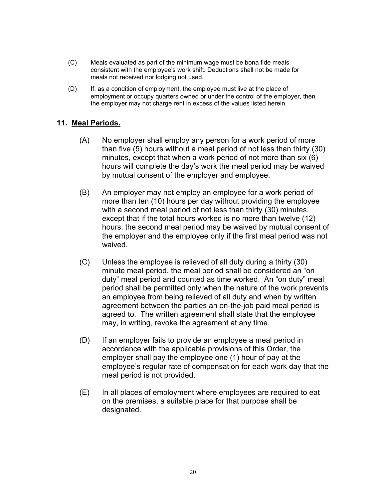- (C) Meals evaluated as part of the minimum wage must be bona fide meals consistent with the employee's work shift. Deductions shall not be made for meals not received nor lodging not used.
- (D) If, as a condition of employment, the employee must live at the place of employment or occupy quarters owned or under the control of the employer, then the employer may not charge rent in excess of the values listed herein.

#### **11. Meal Periods.**

- (A) No employer shall employ any person for a work period of more than five (5) hours without a meal period of not less than thirty (30) minutes, except that when a work period of not more than six (6) hours will complete the day's work the meal period may be waived by mutual consent of the employer and employee.
- (B) An employer may not employ an employee for a work period of more than ten (10) hours per day without providing the employee with a second meal period of not less than thirty (30) minutes, except that if the total hours worked is no more than twelve (12) hours, the second meal period may be waived by mutual consent of the employer and the employee only if the first meal period was not waived.
- (C) Unless the employee is relieved of all duty during a thirty (30) minute meal period, the meal period shall be considered an "on duty" meal period and counted as time worked. An "on duty" meal period shall be permitted only when the nature of the work prevents an employee from being relieved of all duty and when by written agreement between the parties an on-the-job paid meal period is agreed to. The written agreement shall state that the employee may, in writing, revoke the agreement at any time.
- (D) If an employer fails to provide an employee a meal period in accordance with the applicable provisions of this Order, the employer shall pay the employee one (1) hour of pay at the employee's regular rate of compensation for each work day that the meal period is not provided.
- (E) In all places of employment where employees are required to eat on the premises, a suitable place for that purpose shall be designated.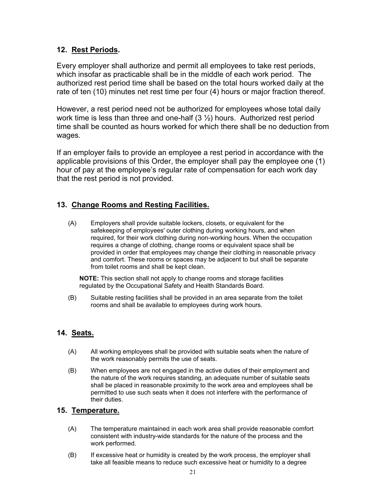## **12. Rest Periods.**

Every employer shall authorize and permit all employees to take rest periods, which insofar as practicable shall be in the middle of each work period. The authorized rest period time shall be based on the total hours worked daily at the rate of ten (10) minutes net rest time per four (4) hours or major fraction thereof.

However, a rest period need not be authorized for employees whose total daily work time is less than three and one-half  $(3 \frac{1}{2})$  hours. Authorized rest period time shall be counted as hours worked for which there shall be no deduction from wages.

If an employer fails to provide an employee a rest period in accordance with the applicable provisions of this Order, the employer shall pay the employee one (1) hour of pay at the employee's regular rate of compensation for each work day that the rest period is not provided.

### **13. Change Rooms and Resting Facilities.**

 $(A)$ Employers shall provide suitable lockers, closets, or equivalent for the safekeeping of employees' outer clothing during working hours, and when required, for their work clothing during non-working hours. When the occupation requires a change of clothing, change rooms or equivalent space shall be provided in order that employees may change their clothing in reasonable privacy and comfort. These rooms or spaces may be adjacent to but shall be separate from toilet rooms and shall be kept clean.

**NOTE:** This section shall not apply to change rooms and storage facilities regulated by the Occupational Safety and Health Standards Board.

 $(B)$ Suitable resting facilities shall be provided in an area separate from the toilet rooms and shall be available to employees during work hours.

## **14. Seats.**

- $(A)$ All working employees shall be provided with suitable seats when the nature of the work reasonably permits the use of seats.
- $(B)$ When employees are not engaged in the active duties of their employment and the nature of the work requires standing, an adequate number of suitable seats shall be placed in reasonable proximity to the work area and employees shall be permitted to use such seats when it does not interfere with the performance of their duties.

#### **15. Temperature.**

- $(A)$ The temperature maintained in each work area shall provide reasonable comfort consistent with industry-wide standards for the nature of the process and the work performed.
- $(B)$ If excessive heat or humidity is created by the work process, the employer shall take all feasible means to reduce such excessive heat or humidity to a degree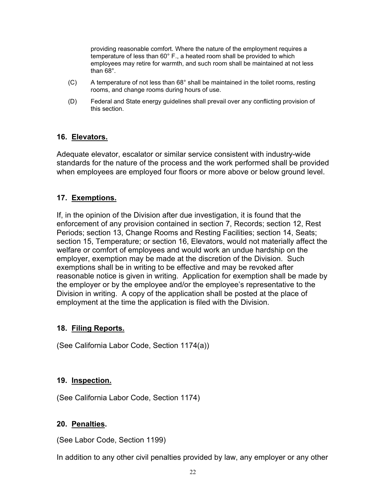providing reasonable comfort. Where the nature of the employment requires a temperature of less than 60° F., a heated room shall be provided to which employees may retire for warmth, and such room shall be maintained at not less than 68°.

- $(C)$ A temperature of not less than 68° shall be maintained in the toilet rooms, resting rooms, and change rooms during hours of use.
- $(D)$ Federal and State energy guidelines shall prevail over any conflicting provision of this section.

### **16. Elevators.**

Adequate elevator, escalator or similar service consistent with industry-wide standards for the nature of the process and the work performed shall be provided when employees are employed four floors or more above or below ground level.

### **17. Exemptions.**

If, in the opinion of the Division after due investigation, it is found that the enforcement of any provision contained in section 7, Records; section 12, Rest Periods; section 13, Change Rooms and Resting Facilities; section 14, Seats; section 15, Temperature; or section 16, Elevators, would not materially affect the welfare or comfort of employees and would work an undue hardship on the employer, exemption may be made at the discretion of the Division. Such exemptions shall be in writing to be effective and may be revoked after reasonable notice is given in writing. Application for exemption shall be made by the employer or by the employee and/or the employee's representative to the Division in writing. A copy of the application shall be posted at the place of employment at the time the application is filed with the Division.

#### **18. Filing Reports.**

(See California Labor Code, Section 1174(a))

#### **19. Inspection.**

(See California Labor Code, Section 1174)

#### **20. Penalties.**

(See Labor Code, Section 1199)

In addition to any other civil penalties provided by law, any employer or any other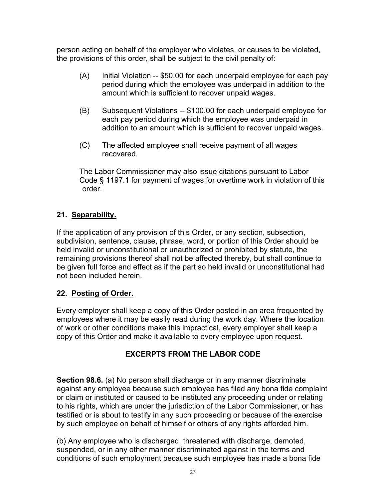person acting on behalf of the employer who violates, or causes to be violated, the provisions of this order, shall be subject to the civil penalty of:

- (A) Initial Violation -- \$50.00 for each underpaid employee for each pay period during which the employee was underpaid in addition to the amount which is sufficient to recover unpaid wages.
- (B) Subsequent Violations -- \$100.00 for each underpaid employee for each pay period during which the employee was underpaid in addition to an amount which is sufficient to recover unpaid wages.
- (C) The affected employee shall receive payment of all wages recovered.

The Labor Commissioner may also issue citations pursuant to Labor Code § 1197.1 for payment of wages for overtime work in violation of this order.

# **21. Separability.**

If the application of any provision of this Order, or any section, subsection, subdivision, sentence, clause, phrase, word, or portion of this Order should be held invalid or unconstitutional or unauthorized or prohibited by statute, the remaining provisions thereof shall not be affected thereby, but shall continue to be given full force and effect as if the part so held invalid or unconstitutional had not been included herein.

## **22. Posting of Order.**

Every employer shall keep a copy of this Order posted in an area frequented by employees where it may be easily read during the work day. Where the location of work or other conditions make this impractical, every employer shall keep a copy of this Order and make it available to every employee upon request.

## **EXCERPTS FROM THE LABOR CODE**

**Section 98.6.** (a) No person shall discharge or in any manner discriminate against any employee because such employee has filed any bona fide complaint or claim or instituted or caused to be instituted any proceeding under or relating to his rights, which are under the jurisdiction of the Labor Commissioner, or has testified or is about to testify in any such proceeding or because of the exercise by such employee on behalf of himself or others of any rights afforded him.

(b) Any employee who is discharged, threatened with discharge, demoted, suspended, or in any other manner discriminated against in the terms and conditions of such employment because such employee has made a bona fide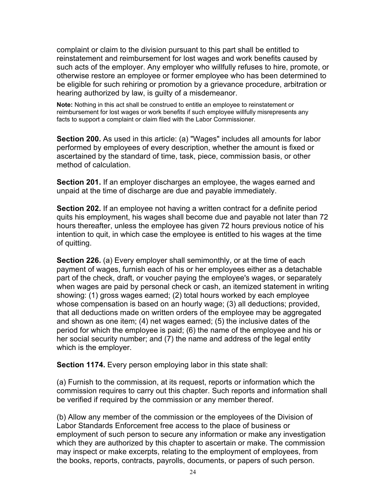complaint or claim to the division pursuant to this part shall be entitled to reinstatement and reimbursement for lost wages and work benefits caused by such acts of the employer. Any employer who willfully refuses to hire, promote, or otherwise restore an employee or former employee who has been determined to be eligible for such rehiring or promotion by a grievance procedure, arbitration or hearing authorized by law, is guilty of a misdemeanor.

**Note:** Nothing in this act shall be construed to entitle an employee to reinstatement or reimbursement for lost wages or work benefits if such employee willfully misrepresents any facts to support a complaint or claim filed with the Labor Commissioner.

**Section 200.** As used in this article: (a) "Wages" includes all amounts for labor performed by employees of every description, whether the amount is fixed or ascertained by the standard of time, task, piece, commission basis, or other method of calculation.

**Section 201.** If an employer discharges an employee, the wages earned and unpaid at the time of discharge are due and payable immediately.

**Section 202.** If an employee not having a written contract for a definite period quits his employment, his wages shall become due and payable not later than 72 hours thereafter, unless the employee has given 72 hours previous notice of his intention to quit, in which case the employee is entitled to his wages at the time of quitting.

**Section 226.** (a) Every employer shall semimonthly, or at the time of each payment of wages, furnish each of his or her employees either as a detachable part of the check, draft, or voucher paying the employee's wages, or separately when wages are paid by personal check or cash, an itemized statement in writing showing: (1) gross wages earned; (2) total hours worked by each employee whose compensation is based on an hourly wage; (3) all deductions; provided, that all deductions made on written orders of the employee may be aggregated and shown as one item; (4) net wages earned; (5) the inclusive dates of the period for which the employee is paid; (6) the name of the employee and his or her social security number; and (7) the name and address of the legal entity which is the employer.

**Section 1174.** Every person employing labor in this state shall:

(a) Furnish to the commission, at its request, reports or information which the commission requires to carry out this chapter. Such reports and information shall be verified if required by the commission or any member thereof.

(b) Allow any member of the commission or the employees of the Division of Labor Standards Enforcement free access to the place of business or employment of such person to secure any information or make any investigation which they are authorized by this chapter to ascertain or make. The commission may inspect or make excerpts, relating to the employment of employees, from the books, reports, contracts, payrolls, documents, or papers of such person.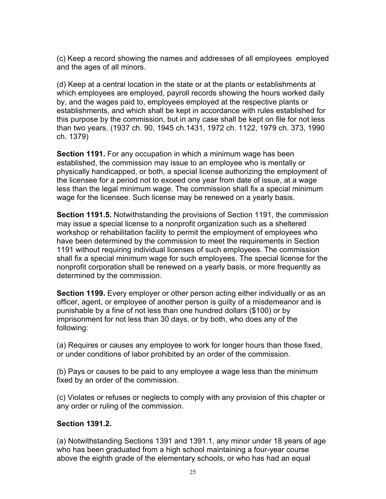(c) Keep a record showing the names and addresses of all employees employed and the ages of all minors.

(d) Keep at a central location in the state or at the plants or establishments at which employees are employed, payroll records showing the hours worked daily by, and the wages paid to, employees employed at the respective plants or establishments, and which shall be kept in accordance with rules established for this purpose by the commission, but in any case shall be kept on file for not less than two years. (1937 ch. 90, 1945 ch.1431, 1972 ch. 1122, 1979 ch. 373, 1990 ch. 1379)

**Section 1191.** For any occupation in which a minimum wage has been established, the commission may issue to an employee who is mentally or physically handicapped, or both, a special license authorizing the employment of the licensee for a period not to exceed one year from date of issue, at a wage less than the legal minimum wage. The commission shall fix a special minimum wage for the licensee. Such license may be renewed on a yearly basis.

**Section 1191.5.** Notwithstanding the provisions of Section 1191, the commission may issue a special license to a nonprofit organization such as a sheltered workshop or rehabilitation facility to permit the employment of employees who have been determined by the commission to meet the requirements in Section 1191 without requiring individual licenses of such employees. The commission shall fix a special minimum wage for such employees. The special license for the nonprofit corporation shall be renewed on a yearly basis, or more frequently as determined by the commission.

**Section 1199.** Every employer or other person acting either individually or as an officer, agent, or employee of another person is guilty of a misdemeanor and is punishable by a fine of not less than one hundred dollars (\$100) or by imprisonment for not less than 30 days, or by both, who does any of the following:

(a) Requires or causes any employee to work for longer hours than those fixed, or under conditions of labor prohibited by an order of the commission.

(b) Pays or causes to be paid to any employee a wage less than the minimum fixed by an order of the commission.

(c) Violates or refuses or neglects to comply with any provision of this chapter or any order or ruling of the commission.

## **Section 1391.2.**

(a) Notwithstanding Sections 1391 and 1391.1, any minor under 18 years of age who has been graduated from a high school maintaining a four-year course above the eighth grade of the elementary schools, or who has had an equal